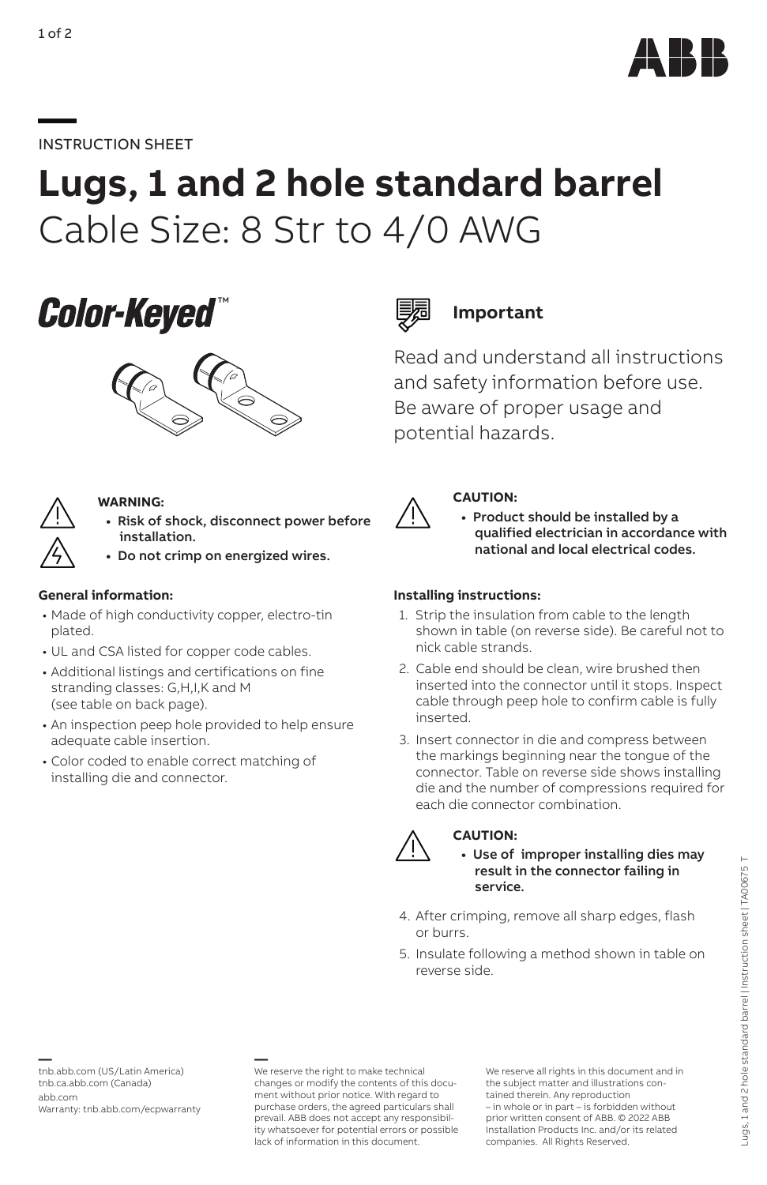

# **—**INSTRUCTION SHEET

# **Lugs, 1 and 2 hole standard barrel** Cable Size: 8 Str to 4/0 AWG





### **WARNING:**

- **•** Risk of shock, disconnect power before installation.
- **•** Do not crimp on energized wires.

### **General information:**

- Made of high conductivity copper, electro-tin plated.
- UL and CSA listed for copper code cables.
- Additional listings and certifications on fine stranding classes: G,H,I,K and M (see table on back page).
- An inspection peep hole provided to help ensure adequate cable insertion.
- Color coded to enable correct matching of installing die and connector.



# **Important**

Read and understand all instructions and safety information before use. Be aware of proper usage and potential hazards.



## **CAUTION:**

**•** Product should be installed by a qualified electrician in accordance with national and local electrical codes.

## **Installing instructions:**

- 1. Strip the insulation from cable to the length shown in table (on reverse side). Be careful not to nick cable strands.
- 2. Cable end should be clean, wire brushed then inserted into the connector until it stops. Inspect cable through peep hole to confirm cable is fully inserted.
- 3. Insert connector in die and compress between the markings beginning near the tongue of the connector. Table on reverse side shows installing die and the number of compressions required for each die connector combination.



## **CAUTION:**

**•** Use of improper installing dies may result in the connector failing in service.

- 4. After crimping, remove all sharp edges, flash or burrs.
- 5. Insulate following a method shown in table on reverse side.

**—** <tnb.abb.com> (US/Latin America) <tnb.ca.abb.com>(Canada) [abb.com](https://new.abb.com/contact-centers)

Warranty: <tnb.abb.com/ecpwarranty>

**—** We reserve the right to make technical changes or modify the contents of this document without prior notice. With regard to purchase orders, the agreed particulars shall prevail. ABB does not accept any responsibility whatsoever for potential errors or possible lack of information in this document.

We reserve all rights in this document and in the subject matter and illustrations contained therein. Any reproduction – in whole or in part – is forbidden without prior written consent of ABB. © 2022 ABB Installation Products Inc. and/or its related companies. All Rights Reserved.